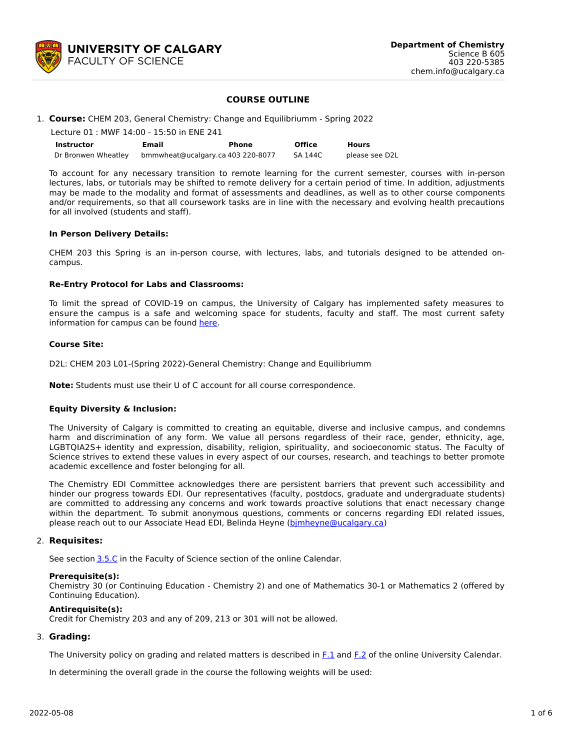

### **COURSE OUTLINE**

1. **Course:** CHEM 203, General Chemistry: Change and Equilibriumm - Spring 2022

| Lecture 01 : MWF 14:00 - 15:50 in ENE 241 |                                   |       |         |                |  |  |
|-------------------------------------------|-----------------------------------|-------|---------|----------------|--|--|
| <b>Instructor</b>                         | Email                             | Phone | Office  | <b>Hours</b>   |  |  |
| Dr Bronwen Wheatley                       | bmmwheat@ucalgary.ca 403 220-8077 |       | SA 144C | please see D2L |  |  |

To account for any necessary transition to remote learning for the current semester, courses with in-person lectures, labs, or tutorials may be shifted to remote delivery for a certain period of time. In addition, adjustments may be made to the modality and format of assessments and deadlines, as well as to other course components and/or requirements, so that all coursework tasks are in line with the necessary and evolving health precautions for all involved (students and staff).

#### **In Person Delivery Details:**

CHEM 203 this Spring is an in-person course, with lectures, labs, and tutorials designed to be attended oncampus.

#### **Re-Entry Protocol for Labs and Classrooms:**

To limit the spread of COVID-19 on campus, the University of Calgary has implemented safety measures to ensure the campus is a safe and welcoming space for students, faculty and staff. The most current safety information for campus can be found [here](https://www.ucalgary.ca/risk/emergency-management/covid-19-response/return-campus-safety).

#### **Course Site:**

D2L: CHEM 203 L01-(Spring 2022)-General Chemistry: Change and Equilibriumm

**Note:** Students must use their U of C account for all course correspondence.

#### **Equity Diversity & Inclusion:**

The University of Calgary is committed to creating an equitable, diverse and inclusive campus, and condemns harm and discrimination of any form. We value all persons regardless of their race, gender, ethnicity, age, LGBTQIA2S+ identity and expression, disability, religion, spirituality, and socioeconomic status. The Faculty of Science strives to extend these values in every aspect of our courses, research, and teachings to better promote academic excellence and foster belonging for all.

The Chemistry EDI Committee acknowledges there are persistent barriers that prevent such accessibility and hinder our progress towards EDI. Our representatives (faculty, postdocs, graduate and undergraduate students) are committed to addressing any concerns and work towards proactive solutions that enact necessary change within the department. To submit anonymous questions, comments or concerns regarding EDI related issues, please reach out to our Associate Head EDI, Belinda Heyne [\(bjmheyne@ucalgary.ca](mailto:bjmheyne@ucalgary.ca))

#### 2. **Requisites:**

See section [3.5.C](http://www.ucalgary.ca/pubs/calendar/current/sc-3-5.html) in the Faculty of Science section of the online Calendar.

#### **Prerequisite(s):**

Chemistry 30 (or Continuing Education - Chemistry 2) and one of Mathematics 30-1 or Mathematics 2 (offered by Continuing Education).

#### **Antirequisite(s):**

Credit for Chemistry 203 and any of 209, 213 or 301 will not be allowed.

#### 3. **Grading:**

The University policy on grading and related matters is described in [F.1](http://www.ucalgary.ca/pubs/calendar/current/f-1.html) and [F.2](http://www.ucalgary.ca/pubs/calendar/current/f-2.html) of the online University Calendar.

In determining the overall grade in the course the following weights will be used: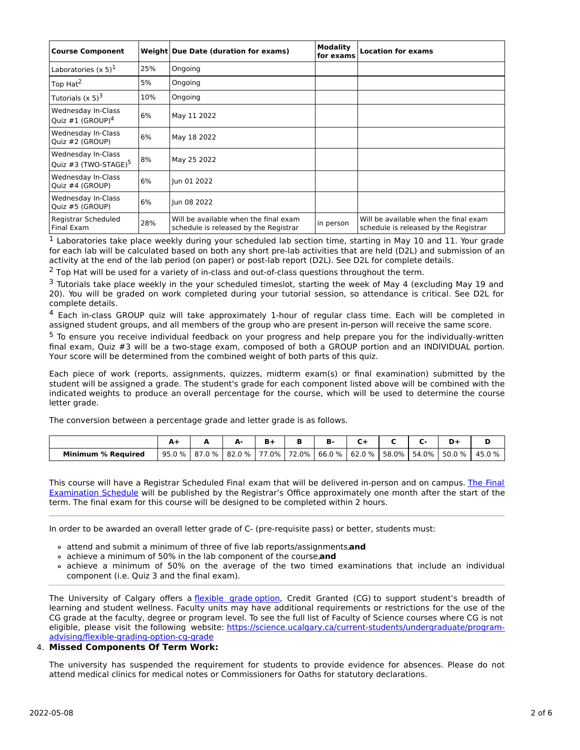| <b>Course Component</b>                                |     | Weight Due Date (duration for exams)                                           | <b>Modality</b><br>for exams | <b>Location for exams</b>                                                      |  |  |
|--------------------------------------------------------|-----|--------------------------------------------------------------------------------|------------------------------|--------------------------------------------------------------------------------|--|--|
| Laboratories $(x 5)^1$                                 | 25% | Ongoing                                                                        |                              |                                                                                |  |  |
| Top Hat <sup>2</sup>                                   | 5%  | Ongoing                                                                        |                              |                                                                                |  |  |
| Tutorials $(x 5)3$                                     | 10% | Ongoing                                                                        |                              |                                                                                |  |  |
| Wednesday In-Class<br>Ouiz $\#1$ (GROUP) <sup>4</sup>  | 6%  | May 11 2022                                                                    |                              |                                                                                |  |  |
| Wednesday In-Class<br>Quiz #2 (GROUP)                  | 6%  | May 18 2022                                                                    |                              |                                                                                |  |  |
| Wednesday In-Class<br>Quiz #3 (TWO-STAGE) <sup>5</sup> | 8%  | May 25 2022                                                                    |                              |                                                                                |  |  |
| Wednesday In-Class<br>Quiz #4 (GROUP)                  | 6%  | lun 01 2022                                                                    |                              |                                                                                |  |  |
| Wednesday In-Class<br>Quiz #5 (GROUP)                  | 6%  | lun 08 2022                                                                    |                              |                                                                                |  |  |
| Registrar Scheduled<br>Final Exam                      | 28% | Will be available when the final exam<br>schedule is released by the Registrar | in person                    | Will be available when the final exam<br>schedule is released by the Registrar |  |  |

 $<sup>1</sup>$  Laboratories take place weekly during your scheduled lab section time, starting in May 10 and 11. Your grade</sup> for each lab will be calculated based on both any short pre-lab activities that are held (D2L) and submission of an activity at the end of the lab period (on paper) or post-lab report (D2L). See D2L for complete details.

 $<sup>2</sup>$  Top Hat will be used for a variety of in-class and out-of-class questions throughout the term.</sup>

 $3$  Tutorials take place weekly in the your scheduled timeslot, starting the week of May 4 (excluding May 19 and 20). You will be graded on work completed during your tutorial session, so attendance is critical. See D2L for complete details.

4 Each in-class GROUP quiz will take approximately 1-hour of regular class time. Each will be completed in assigned student groups, and all members of the group who are present in-person will receive the same score.

<sup>5</sup> To ensure you receive individual feedback on your progress and help prepare you for the individually-written final exam, Quiz #3 will be a two-stage exam, composed of both a GROUP portion and an INDIVIDUAL portion. Your score will be determined from the combined weight of both parts of this quiz.

Each piece of work (reports, assignments, quizzes, midterm exam(s) or final examination) submitted by the student will be assigned a grade. The student's grade for each component listed above will be combined with the indicated weights to produce an overall percentage for the course, which will be used to determine the course letter grade.

The conversion between a percentage grade and letter grade is as follows.

|                           |        |        |              |             | в.     |                        |             | D-       |        |
|---------------------------|--------|--------|--------------|-------------|--------|------------------------|-------------|----------|--------|
| <b>Minimum % Required</b> | 95.0 % | 87.0 % | $.0\%$<br>82 | 77.0% 72.0% | 66.0 % | $\frac{1}{2}$ 62.0 % L | 58.0% 54.0% | $50.0\%$ | 45.0 % |

This course will have a Registrar Scheduled Final exam that will be delivered in-person and on campus. The Final Examination Schedule will be published by the Registrar's Office [approximately](https://www.ucalgary.ca/registrar/exams) one month after the start of the term. The final exam for this course will be designed to be completed within 2 hours.

In order to be awarded an overall letter grade of C- (pre-requisite pass) or better, students must:

- attend and submit a minimum of three of five lab reports/assignments,**and**
- achieve a minimum of 50% in the lab component of the course,**and**
- achieve a minimum of 50% on the average of the two timed examinations that include an individual component (i.e. Quiz 3 and the final exam).

The University of Calgary offers a [flexible](https://www.ucalgary.ca/pubs/calendar/current/f-1-3.html) grade option, Credit Granted (CG) to support student's breadth of learning and student wellness. Faculty units may have additional requirements or restrictions for the use of the CG grade at the faculty, degree or program level. To see the full list of Faculty of Science courses where CG is not eligible, please visit the following website: [https://science.ucalgary.ca/current-students/undergraduate/program](https://science.ucalgary.ca/current-students/undergraduate/program-advising/flexible-grading-option-cg-grade)advising/flexible-grading-option-cg-grade

# 4. **Missed Components Of Term Work:**

The university has suspended the requirement for students to provide evidence for absences. Please do not attend medical clinics for medical notes or Commissioners for Oaths for statutory declarations.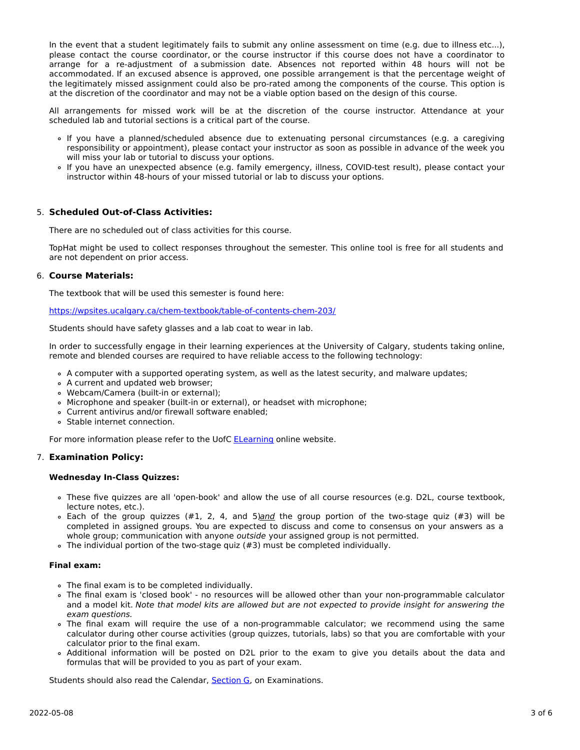In the event that a student legitimately fails to submit any online assessment on time (e.g. due to illness etc...), please contact the course coordinator, or the course instructor if this course does not have a coordinator to arrange for a re-adjustment of a submission date. Absences not reported within 48 hours will not be accommodated. If an excused absence is approved, one possible arrangement is that the percentage weight of the legitimately missed assignment could also be pro-rated among the components of the course. This option is at the discretion of the coordinator and may not be a viable option based on the design of this course.

All arrangements for missed work will be at the discretion of the course instructor. Attendance at your scheduled lab and tutorial sections is a critical part of the course.

- If you have a planned/scheduled absence due to extenuating personal circumstances (e.g. a caregiving responsibility or appointment), please contact your instructor as soon as possible in advance of the week you will miss your lab or tutorial to discuss your options.
- If you have an unexpected absence (e.g. family emergency, illness, COVID-test result), please contact your instructor within 48-hours of your missed tutorial or lab to discuss your options.

## 5. **Scheduled Out-of-Class Activities:**

There are no scheduled out of class activities for this course.

TopHat might be used to collect responses throughout the semester. This online tool is free for all students and are not dependent on prior access.

### 6. **Course Materials:**

The textbook that will be used this semester is found here:

<https://wpsites.ucalgary.ca/chem-textbook/table-of-contents-chem-203/>

Students should have safety glasses and a lab coat to wear in lab.

In order to successfully engage in their learning experiences at the University of Calgary, students taking online, remote and blended courses are required to have reliable access to the following technology:

- A computer with a supported operating system, as well as the latest security, and malware updates;
- A current and updated web browser;
- Webcam/Camera (built-in or external);
- Microphone and speaker (built-in or external), or headset with microphone;
- Current antivirus and/or firewall software enabled;
- Stable internet connection.

For more information please refer to the UofC [ELearning](https://elearn.ucalgary.ca/technology-requirements-for-students) online website.

## 7. **Examination Policy:**

#### **Wednesday In-Class Quizzes:**

- These five quizzes are all 'open-book' and allow the use of all course resources (e.g. D2L, course textbook, lecture notes, etc.).
- $\circ$  Each of the group quizzes (#1, 2, 4, and 5)and the group portion of the two-stage quiz (#3) will be completed in assigned groups. You are expected to discuss and come to consensus on your answers as a whole group; communication with anyone outside your assigned group is not permitted.
- The individual portion of the two-stage quiz (#3) must be completed individually.

#### **Final exam:**

- The final exam is to be completed individually.
- The final exam is 'closed book' no resources will be allowed other than your non-programmable calculator and a model kit. Note that model kits are allowed but are not expected to provide insight for answering the exam questions.
- The final exam will require the use of a non-programmable calculator; we recommend using the same calculator during other course activities (group quizzes, tutorials, labs) so that you are comfortable with your calculator prior to the final exam.
- Additional information will be posted on D2L prior to the exam to give you details about the data and formulas that will be provided to you as part of your exam.

Students should also read the Calendar, [Section](http://www.ucalgary.ca/pubs/calendar/current/g.html) G, on Examinations.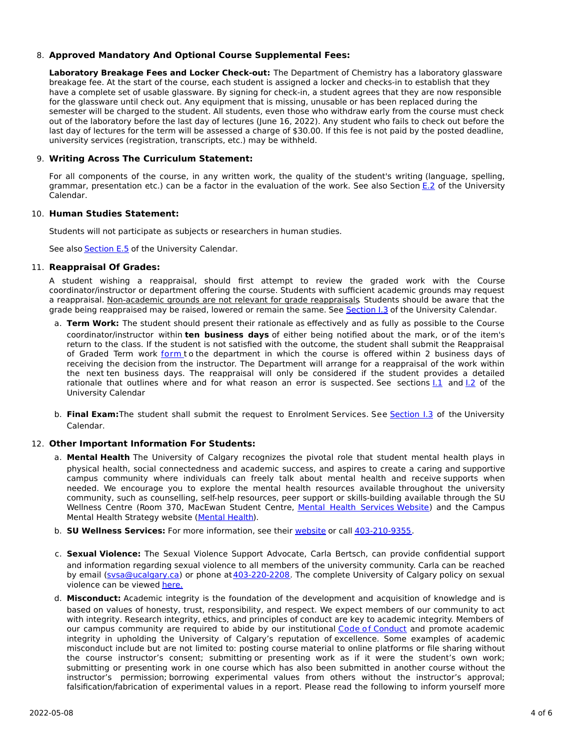## 8. **Approved Mandatory And Optional Course Supplemental Fees:**

**Laboratory Breakage Fees and Locker Check-out:** The Department of Chemistry has a laboratory glassware breakage fee. At the start of the course, each student is assigned a locker and checks-in to establish that they have a complete set of usable glassware. By signing for check-in, a student agrees that they are now responsible for the glassware until check out. Any equipment that is missing, unusable or has been replaced during the semester will be charged to the student. All students, even those who withdraw early from the course must check out of the laboratory before the last day of lectures (June 16, 2022). Any student who fails to check out before the last day of lectures for the term will be assessed a charge of \$30.00. If this fee is not paid by the posted deadline, university services (registration, transcripts, etc.) may be withheld.

### 9. **Writing Across The Curriculum Statement:**

For all components of the course, in any written work, the quality of the student's writing (language, spelling, grammar, presentation etc.) can be a factor in the evaluation of the work. See also Section [E.2](http://www.ucalgary.ca/pubs/calendar/current/e-2.html) of the University Calendar.

## 10. **Human Studies Statement:**

Students will not participate as subjects or researchers in human studies.

See also **[Section](http://www.ucalgary.ca/pubs/calendar/current/e-5.html) E.5** of the University Calendar.

### 11. **Reappraisal Of Grades:**

A student wishing a reappraisal, should first attempt to review the graded work with the Course coordinator/instructor or department offering the course. Students with sufficient academic grounds may request a reappraisal. Non-academic grounds are not relevant for grade reappraisals. Students should be aware that the grade being reappraised may be raised, lowered or remain the same. See [Section](http://www.ucalgary.ca/pubs/calendar/current/i-3.html) I.3 of the University Calendar.

- a. **Term Work:** The student should present their rationale as effectively and as fully as possible to the Course coordinator/instructor within **ten business days** of either being notified about the mark, or of the item's return to the class. If the student is not satisfied with the outcome, the student shall submit the Reappraisal of Graded Term work [form](https://science.ucalgary.ca/sites/default/files/teams/1/Reappraisal_Termwork_2021.pdf) to the department in which the course is offered within 2 business days of receiving the decision from the instructor. The Department will arrange for a reappraisal of the work within the next ten business days. The reappraisal will only be considered if the student provides a detailed rationale that outlines where and for what reason an error is suspected. See sections [I.1](http://www.ucalgary.ca/pubs/calendar/current/i-1.html) and [I.2](http://www.ucalgary.ca/pubs/calendar/current/i-2.html) of the University Calendar
- b. **Final Exam:**The student shall submit the request to Enrolment Services. See [Section](http://www.ucalgary.ca/pubs/calendar/current/i-3.html) I.3 of the University Calendar.

## 12. **Other Important Information For Students:**

- a. **Mental Health** The University of Calgary recognizes the pivotal role that student mental health plays in physical health, social connectedness and academic success, and aspires to create a caring and supportive campus community where individuals can freely talk about mental health and receive supports when needed. We encourage you to explore the mental health resources available throughout the university community, such as counselling, self-help resources, peer support or skills-building available through the SU Wellness Centre (Room 370, MacEwan Student Centre, Mental Health [Services](https://www.ucalgary.ca/wellnesscentre/services/mental-health-services) Website) and the Campus Mental Health Strategy website [\(Mental](http://www.ucalgary.ca/mentalhealth) Health).
- b. **SU Wellness Services:** For more information, see their [website](http://www.ucalgary.ca/wellnesscentre) or call [403-210-9355](tel:4032109355).
- c. **Sexual Violence:** The Sexual Violence Support Advocate, Carla Bertsch, can provide confidential support and information regarding sexual violence to all members of the university community. Carla can be reached by email (sysa@ucalgary.ca) or phone at [403-220-2208](tel:4032202208). The complete University of Calgary policy on sexual violence can be viewed [here.](https://www.ucalgary.ca/legal-services/sites/default/files/teams/1/Policies-Sexual-and-Gender-Based-Violence-Policy.pdf)
- d. **Misconduct:** Academic integrity is the foundation of the development and acquisition of knowledge and is based on values of honesty, trust, responsibility, and respect. We expect members of our community to act with integrity. Research integrity, ethics, and principles of conduct are key to academic integrity. Members of our campus community are required to abide by our institutional Code of [Conduct](https://www.ucalgary.ca/legal-services/sites/default/files/teams/1/Policies-Code-of-Conduct.pdf) and promote academic integrity in upholding the University of Calgary's reputation of excellence. Some examples of academic misconduct include but are not limited to: posting course material to online platforms or file sharing without the course instructor's consent; submitting or presenting work as if it were the student's own work; submitting or presenting work in one course which has also been submitted in another course without the instructor's permission; borrowing experimental values from others without the instructor's approval; falsification/fabrication of experimental values in a report. Please read the following to inform yourself more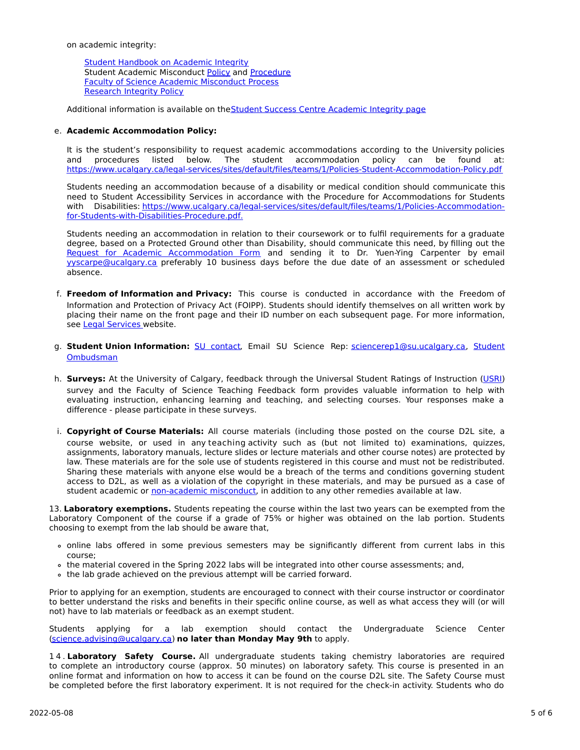on academic integrity:

Student [Handbook](https://www.ucalgary.ca/live-uc-ucalgary-site/sites/default/files/teams/9/AI-Student-handbook-1.pdf) on Academic Integrity Student Academic Misconduct [Policy](https://www.ucalgary.ca/legal-services/sites/default/files/teams/1/Policies-Student-Academic-Misconduct-Policy.pdf) and [Procedure](https://www.ucalgary.ca/legal-services/sites/default/files/teams/1/Policies-Student-Academic-Misconduct-Procedure.pdf) Faculty of Science Academic [Misconduct](https://science.ucalgary.ca/current-students/undergraduate/program-advising) Process [Research](https://www.ucalgary.ca/legal-services/sites/default/files/teams/1/Policies-Research-Integrity-Policy.pdf) Integrity Policy

Additional information is available on the Student Success Centre [Academic](https://ucalgary.ca/student-services/student-success/learning/academic-integrity) Integrity page

### e. **Academic Accommodation Policy:**

It is the student's responsibility to request academic accommodations according to the University policies and procedures listed below. The student accommodation policy can be found at: <https://www.ucalgary.ca/legal-services/sites/default/files/teams/1/Policies-Student-Accommodation-Policy.pdf>

Students needing an accommodation because of a disability or medical condition should communicate this need to Student Accessibility Services in accordance with the Procedure for Accommodations for Students with Disabilities: [https://www.ucalgary.ca/legal-services/sites/default/files/teams/1/Policies-Accommodation](https://www.ucalgary.ca/legal-services/sites/default/files/teams/1/Policies-Accommodation-for-Students-with-Disabilities-Procedure.pdf)for-Students-with-Disabilities-Procedure.pdf.

Students needing an accommodation in relation to their coursework or to fulfil requirements for a graduate degree, based on a Protected Ground other than Disability, should communicate this need, by filling out the Request for Academic [Accommodation](https://science.ucalgary.ca/sites/default/files/teams/1/request-accommodation-academic-courses.pdf) Form and sending it to Dr. Yuen-Ying Carpenter by email [yyscarpe@ucalgary.ca](mailto:yyscarpe@ucalgary.ca) preferably 10 business days before the due date of an assessment or scheduled absence.

- f. **Freedom of Information and Privacy:** This course is conducted in accordance with the Freedom of Information and Protection of Privacy Act (FOIPP). Students should identify themselves on all written work by placing their name on the front page and their ID number on each subsequent page. For more information, see Legal [Services](https://www.ucalgary.ca/legal-services/access-information-privacy) website.
- g. **Student Union Information:** SU [contact,](http://www.su.ucalgary.ca/contact) Email SU Science Rep: [sciencerep1@su.ucalgary.ca,](https://www.ucalgary.ca/student-services/ombuds) Student Ombudsman
- h. **Surveys:** At the University of Calgary, feedback through the Universal Student Ratings of Instruction [\(USRI](http://www.ucalgary.ca/usri)) survey and the Faculty of Science Teaching Feedback form provides valuable information to help with evaluating instruction, enhancing learning and teaching, and selecting courses. Your responses make a difference - please participate in these surveys.
- i. **Copyright of Course Materials:** All course materials (including those posted on the course D2L site, a course website, or used in any teaching activity such as (but not limited to) examinations, quizzes, assignments, laboratory manuals, lecture slides or lecture materials and other course notes) are protected by law. These materials are for the sole use of students registered in this course and must not be redistributed. Sharing these materials with anyone else would be a breach of the terms and conditions governing student access to D2L, as well as a violation of the copyright in these materials, and may be pursued as a case of student academic or [non-academic](https://www.ucalgary.ca/conduct/policy/non-academic-misconduct-policy) misconduct, in addition to any other remedies available at law.

13. **Laboratory exemptions.** Students repeating the course within the last two years can be exempted from the Laboratory Component of the course if a grade of 75% or higher was obtained on the lab portion. Students choosing to exempt from the lab should be aware that,

- online labs offered in some previous semesters may be significantly different from current labs in this course;
- the material covered in the Spring 2022 labs will be integrated into other course assessments; and,
- the lab grade achieved on the previous attempt will be carried forward.

Prior to applying for an exemption, students are encouraged to connect with their course instructor or coordinator to better understand the risks and benefits in their specific online course, as well as what access they will (or will not) have to lab materials or feedback as an exempt student.

Students applying for a lab exemption should contact the Undergraduate Science Center [\(science.advising@ucalgary.ca](mailto:science.advising@ucalgary.ca)) **no later than Monday May 9th** to apply.

1 4 . **Laboratory Safety Course.** All undergraduate students taking chemistry laboratories are required to complete an introductory course (approx. 50 minutes) on laboratory safety. This course is presented in an online format and information on how to access it can be found on the course D2L site. The Safety Course must be completed before the first laboratory experiment. It is not required for the check-in activity. Students who do